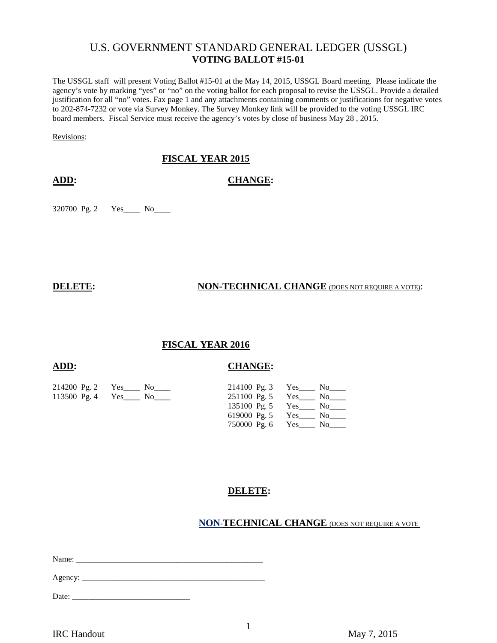# U.S. GOVERNMENT STANDARD GENERAL LEDGER (USSGL) **VOTING BALLOT #15-01**

The USSGL staff will present Voting Ballot #15-01 at the May 14, 2015, USSGL Board meeting. Please indicate the agency's vote by marking "yes" or "no" on the voting ballot for each proposal to revise the USSGL. Provide a detailed justification for all "no" votes. Fax page 1 and any attachments containing comments or justifications for negative votes to 202-874-7232 or vote via Survey Monkey. The Survey Monkey link will be provided to the voting USSGL IRC board members. Fiscal Service must receive the agency's votes by close of business May 28 , 2015.

Revisions:

## **FISCAL YEAR 2015**

**ADD: CHANGE:**

320700 Pg. 2 Yes\_\_\_\_ No\_\_\_\_

#### **DELETE:** NON-TECHNICAL CHANGE (DOES NOT REQUIRE A VOTE):

### **FISCAL YEAR 2016**

### **ADD: CHANGE:**

| 214200 Pg. 2 Yes No    |                  | 214100 Pg. 3 Yes No                           |
|------------------------|------------------|-----------------------------------------------|
| 113500 Pg. 4 Yes No No |                  | $251100 \text{ Pg. 5} \quad \text{Yes}$ No No |
|                        |                  | 135100 Pg. 5 Yes No No                        |
|                        |                  | 619000 Pg. 5 Yes No                           |
|                        | 750000 Pg. 6 Yes | No to the North States                        |

# **DELETE:**

### **NON-TECHNICAL CHANGE** (DOES NOT REQUIRE A VOTE

Name:

Agency: \_\_\_\_\_\_\_\_\_\_\_\_\_\_\_\_\_\_\_\_\_\_\_\_\_\_\_\_\_\_\_\_\_\_\_\_\_\_\_\_\_\_\_\_\_

Date: \_\_\_\_\_\_\_\_\_\_\_\_\_\_\_\_\_\_\_\_\_\_\_\_\_\_\_\_\_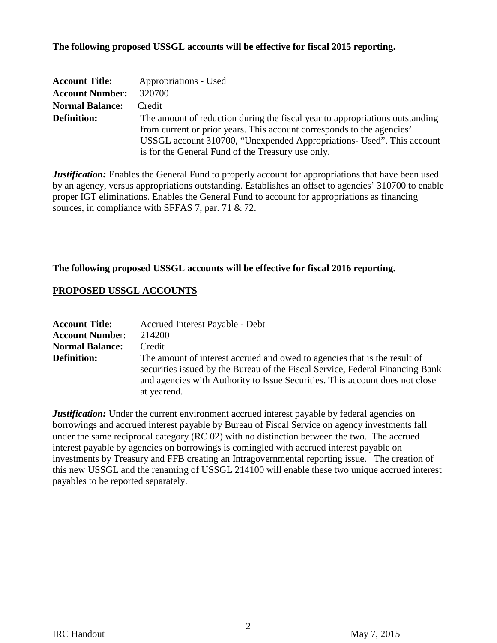## **The following proposed USSGL accounts will be effective for fiscal 2015 reporting.**

| <b>Account Title:</b>  | Appropriations - Used                                                                                                                                  |
|------------------------|--------------------------------------------------------------------------------------------------------------------------------------------------------|
| <b>Account Number:</b> | 320700                                                                                                                                                 |
| <b>Normal Balance:</b> | Credit                                                                                                                                                 |
| <b>Definition:</b>     | The amount of reduction during the fiscal year to appropriations outstanding<br>from current or prior years. This account corresponds to the agencies' |
|                        | USSGL account 310700, "Unexpended Appropriations- Used". This account                                                                                  |
|                        | is for the General Fund of the Treasury use only.                                                                                                      |

*Justification:* Enables the General Fund to properly account for appropriations that have been used by an agency, versus appropriations outstanding. Establishes an offset to agencies' 310700 to enable proper IGT eliminations. Enables the General Fund to account for appropriations as financing sources, in compliance with SFFAS 7, par. 71 & 72.

## **The following proposed USSGL accounts will be effective for fiscal 2016 reporting.**

## **PROPOSED USSGL ACCOUNTS**

| <b>Account Title:</b>  | Accrued Interest Payable - Debt                                                                                                                                                                                                                           |
|------------------------|-----------------------------------------------------------------------------------------------------------------------------------------------------------------------------------------------------------------------------------------------------------|
| <b>Account Number:</b> | 214200                                                                                                                                                                                                                                                    |
| <b>Normal Balance:</b> | Credit                                                                                                                                                                                                                                                    |
| <b>Definition:</b>     | The amount of interest accrued and owed to agencies that is the result of<br>securities issued by the Bureau of the Fiscal Service, Federal Financing Bank<br>and agencies with Authority to Issue Securities. This account does not close<br>at yearend. |

*Justification:* Under the current environment accrued interest payable by federal agencies on borrowings and accrued interest payable by Bureau of Fiscal Service on agency investments fall under the same reciprocal category (RC 02) with no distinction between the two. The accrued interest payable by agencies on borrowings is comingled with accrued interest payable on investments by Treasury and FFB creating an Intragovernmental reporting issue. The creation of this new USSGL and the renaming of USSGL 214100 will enable these two unique accrued interest payables to be reported separately.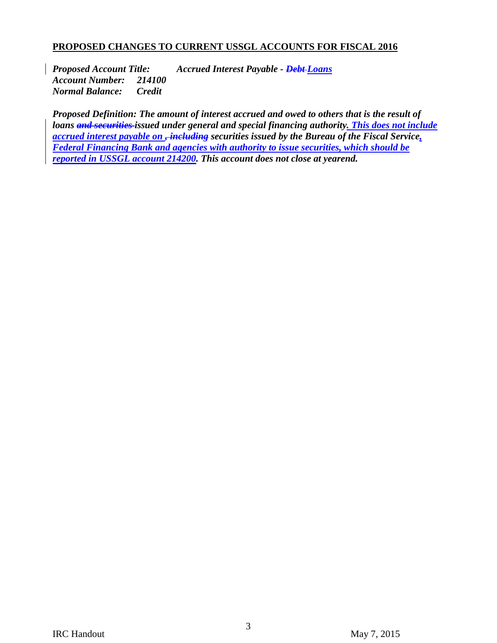# **PROPOSED CHANGES TO CURRENT USSGL ACCOUNTS FOR FISCAL 2016**

*Proposed Account Title: Accrued Interest Payable - Debt Loans Account Number: 214100 Normal Balance: Credit* 

*Proposed Definition: The amount of interest accrued and owed to others that is the result of loans and securities issued under general and special financing authority. This does not include accrued interest payable on , including securities issued by the Bureau of the Fiscal Service, Federal Financing Bank and agencies with authority to issue securities, which should be reported in USSGL account 214200. This account does not close at yearend.*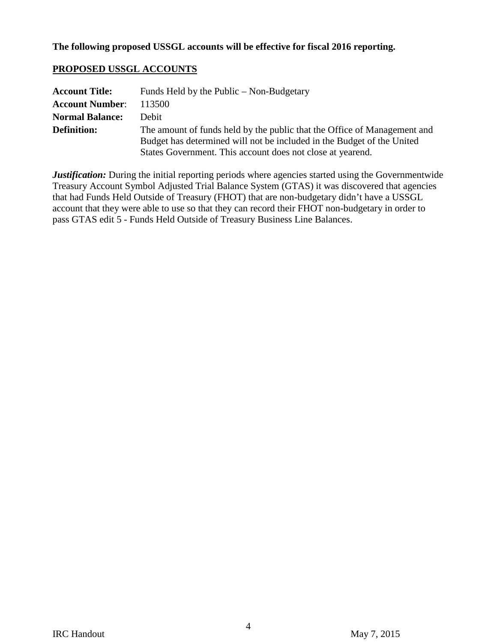# **PROPOSED USSGL ACCOUNTS**

| <b>Account Title:</b>  | Funds Held by the Public – Non-Budgetary                                                                                                                                                                         |
|------------------------|------------------------------------------------------------------------------------------------------------------------------------------------------------------------------------------------------------------|
| <b>Account Number:</b> | 113500                                                                                                                                                                                                           |
| <b>Normal Balance:</b> | Debit                                                                                                                                                                                                            |
| <b>Definition:</b>     | The amount of funds held by the public that the Office of Management and<br>Budget has determined will not be included in the Budget of the United<br>States Government. This account does not close at yearend. |

*Justification:* During the initial reporting periods where agencies started using the Governmentwide Treasury Account Symbol Adjusted Trial Balance System (GTAS) it was discovered that agencies that had Funds Held Outside of Treasury (FHOT) that are non-budgetary didn't have a USSGL account that they were able to use so that they can record their FHOT non-budgetary in order to pass GTAS edit 5 - Funds Held Outside of Treasury Business Line Balances.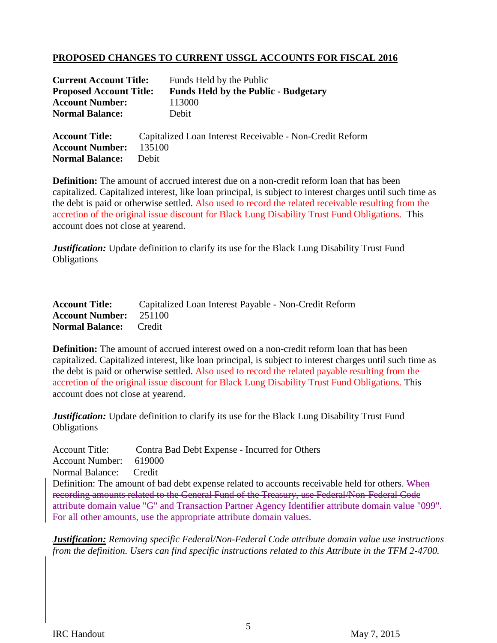# **PROPOSED CHANGES TO CURRENT USSGL ACCOUNTS FOR FISCAL 2016**

| <b>Current Account Title:</b>  | Funds Held by the Public                                 |
|--------------------------------|----------------------------------------------------------|
| <b>Proposed Account Title:</b> | <b>Funds Held by the Public - Budgetary</b>              |
| <b>Account Number:</b>         | 113000                                                   |
| <b>Normal Balance:</b>         | Debit                                                    |
| <b>Account Title:</b>          | Capitalized Loan Interest Receivable - Non-Credit Reform |
| <b>Account Number:</b>         | 135100                                                   |
| <b>Normal Balance:</b>         | Debit                                                    |

**Definition:** The amount of accrued interest due on a non-credit reform loan that has been capitalized. Capitalized interest, like loan principal, is subject to interest charges until such time as the debt is paid or otherwise settled. Also used to record the related receivable resulting from the accretion of the original issue discount for Black Lung Disability Trust Fund Obligations. This account does not close at yearend.

*Justification:* Update definition to clarify its use for the Black Lung Disability Trust Fund Obligations

| <b>Account Title:</b>         | Capitalized Loan Interest Payable - Non-Credit Reform |
|-------------------------------|-------------------------------------------------------|
| <b>Account Number:</b> 251100 |                                                       |
| <b>Normal Balance:</b> Credit |                                                       |

**Definition:** The amount of accrued interest owed on a non-credit reform loan that has been capitalized. Capitalized interest, like loan principal, is subject to interest charges until such time as the debt is paid or otherwise settled. Also used to record the related payable resulting from the accretion of the original issue discount for Black Lung Disability Trust Fund Obligations. This account does not close at yearend.

*Justification:* Update definition to clarify its use for the Black Lung Disability Trust Fund **Obligations** 

| <b>Account Title:</b>                                                                           | Contra Bad Debt Expense - Incurred for Others                                                      |
|-------------------------------------------------------------------------------------------------|----------------------------------------------------------------------------------------------------|
| <b>Account Number:</b>                                                                          | 619000                                                                                             |
| Normal Balance:                                                                                 | Credit                                                                                             |
| Definition: The amount of bad debt expense related to accounts receivable held for others. When |                                                                                                    |
| recording amounts related to the General Fund of the Treasury, use Federal/Non-Federal Code     |                                                                                                    |
|                                                                                                 | attribute domain value "G" and Transaction Partner Agency Identifier attribute domain value "099". |
| For all other amounts, use the appropriate attribute domain values.                             |                                                                                                    |

*Justification: Removing specific Federal/Non-Federal Code attribute domain value use instructions from the definition. Users can find specific instructions related to this Attribute in the TFM 2-4700.*